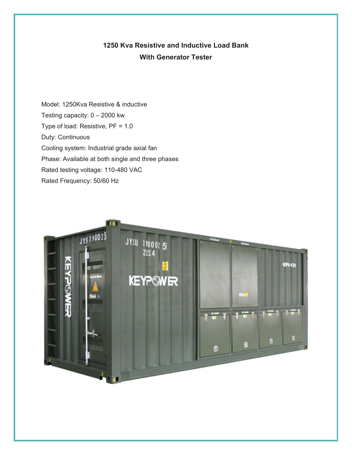## **1250 Kva Resistive and Inductive Load Bank With Generator Tester**

Model: 1250Kva Resistive & inductive Testing capacity: 0 – 2000 kw Type of load: Resistive, PF = 1.0 Duty: Continuous Cooling system: Industrial grade axial fan Phase: Available at both single and three phases Rated testing voltage: 110-480 VAC Rated Frequency: 50/60 Hz

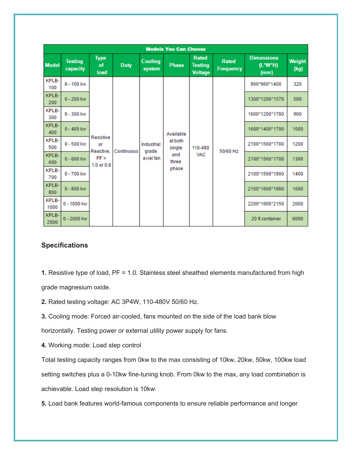| <b>Models You Can Choose</b> |                            |                                                             |             |                                  |                                                         |                                                  |                                  |                                        |                |
|------------------------------|----------------------------|-------------------------------------------------------------|-------------|----------------------------------|---------------------------------------------------------|--------------------------------------------------|----------------------------------|----------------------------------------|----------------|
| <b>Model</b>                 | <b>Testing</b><br>capacity | <b>Type</b><br>of<br>load                                   | <b>Duty</b> | Cooling<br>system                | <b>Phase</b>                                            | <b>Rated</b><br><b>Testing</b><br><b>Voltage</b> | <b>Rated</b><br><b>Frequency</b> | <b>Dimensions</b><br>$(L*W*H)$<br>(mm) | Weight<br>(kg) |
| KPLB-<br>100                 | $0 - 100$ kw               | <b>Resistive</b><br>or<br>Reactive.<br>$PF =$<br>1.0 or 0.8 | Continuous  | Industrial<br>grade<br>axial fan | Available<br>at both<br>single<br>and<br>three<br>phase | 110-480<br><b>VAC</b>                            | 50/60 Hz                         | 960*960*1400                           | 320            |
| KPLB-<br>200                 | $0 - 200$ kw               |                                                             |             |                                  |                                                         |                                                  |                                  | 1300*1200*1570                         | 500            |
| KPLB-<br>300                 | $0 - 300$ kw               |                                                             |             |                                  |                                                         |                                                  |                                  | 1600*1200*1700                         | 900            |
| KPLB-<br>400                 | $0 - 400$ kw               |                                                             |             |                                  |                                                         |                                                  |                                  | 1600*1400*1700                         | 1000           |
| KPLB-<br>500                 | $0 - 500$ kw               |                                                             |             |                                  |                                                         |                                                  |                                  | 2100*1560*1700                         | 1200           |
| KPLB-<br>600                 | $0 - 600$ kw               |                                                             |             |                                  |                                                         |                                                  |                                  | 2100*1560*1700                         | 1300           |
| KPLB-<br>700                 | $0 - 700$ kw               |                                                             |             |                                  |                                                         |                                                  |                                  | 2100*1560*1800                         | 1400           |
| KPLB-<br>800                 | $0 - 800$ kw               |                                                             |             |                                  |                                                         |                                                  |                                  | 2100*1660*1900                         | 1600           |
| KPLB-<br>1000                | $0 - 1000$ kw              |                                                             |             |                                  |                                                         |                                                  |                                  | 2200*1900*2150                         | 2000           |
| KPLB-<br>2000                | $0 - 2000$ kw              |                                                             |             |                                  |                                                         |                                                  |                                  | 20 ft container                        | 6000           |

## **Specifications**

**1.** Resistive type of load, PF = 1.0. Stainless steel sheathed elements manufactured from high grade magnesium oxide.

**2.** Rated testing voltage: AC 3P4W, 110-480V 50/60 Hz.

**3.** Cooling mode: Forced air-cooled, fans mounted on the side of the load bank blow

horizontally. Testing power or external utility power supply for fans.

**4.** Working mode: Load step control

Total testing capacity ranges from 0kw to the max consisting of 10kw, 20kw, 50kw, 100kw load setting switches plus a 0-10kw fine-tuning knob. From 0kw to the max, any load combination is achievable. Load step resolution is 10kw.

**5.** Load bank features world-famous components to ensure reliable performance and longer